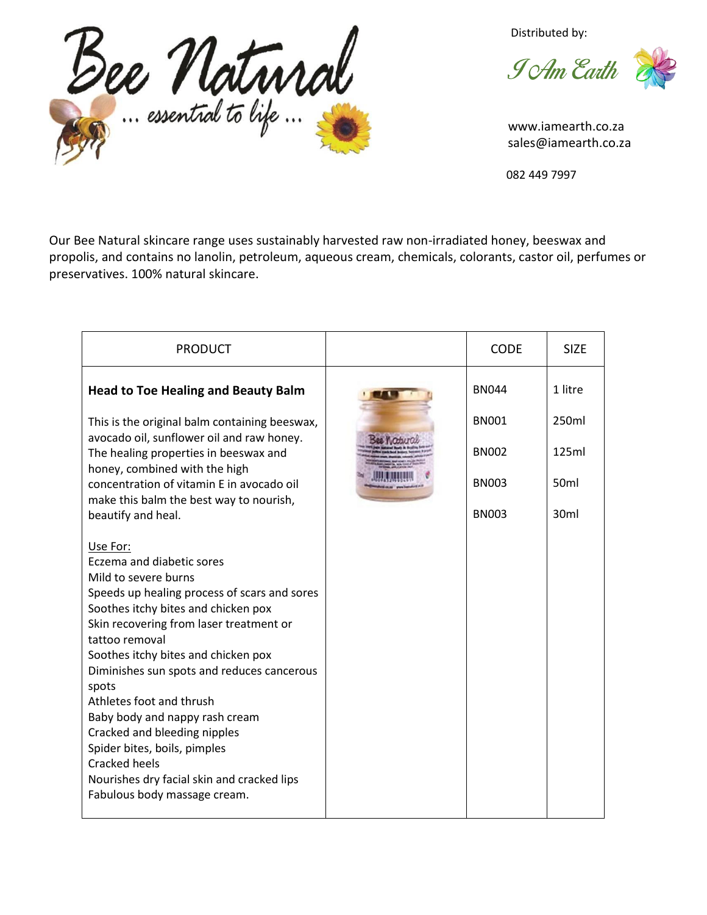

Distributed by:

**J** Am Earth

 www.iamearth.co.za sales@iamearth.co.za

082 449 7997

Our Bee Natural skincare range uses sustainably harvested raw non-irradiated honey, beeswax and propolis, and contains no lanolin, petroleum, aqueous cream, chemicals, colorants, castor oil, perfumes or preservatives. 100% natural skincare.

| <b>PRODUCT</b>                                                                                                                                                                                                                                                                                                                                                                                                                                                                                                                                      | <b>CODE</b>  | <b>SIZE</b>       |
|-----------------------------------------------------------------------------------------------------------------------------------------------------------------------------------------------------------------------------------------------------------------------------------------------------------------------------------------------------------------------------------------------------------------------------------------------------------------------------------------------------------------------------------------------------|--------------|-------------------|
| <b>Head to Toe Healing and Beauty Balm</b>                                                                                                                                                                                                                                                                                                                                                                                                                                                                                                          | <b>BN044</b> | 1 litre           |
| This is the original balm containing beeswax,                                                                                                                                                                                                                                                                                                                                                                                                                                                                                                       | <b>BN001</b> | 250 <sub>ml</sub> |
| avocado oil, sunflower oil and raw honey.<br>The healing properties in beeswax and<br>honey, combined with the high                                                                                                                                                                                                                                                                                                                                                                                                                                 | <b>BN002</b> | 125ml             |
| concentration of vitamin E in avocado oil<br>make this balm the best way to nourish,                                                                                                                                                                                                                                                                                                                                                                                                                                                                | <b>BN003</b> | 50 <sub>ml</sub>  |
| beautify and heal.                                                                                                                                                                                                                                                                                                                                                                                                                                                                                                                                  | <b>BN003</b> | 30 <sub>ml</sub>  |
| Use For:<br>Eczema and diabetic sores<br>Mild to severe burns<br>Speeds up healing process of scars and sores<br>Soothes itchy bites and chicken pox<br>Skin recovering from laser treatment or<br>tattoo removal<br>Soothes itchy bites and chicken pox<br>Diminishes sun spots and reduces cancerous<br>spots<br>Athletes foot and thrush<br>Baby body and nappy rash cream<br>Cracked and bleeding nipples<br>Spider bites, boils, pimples<br><b>Cracked heels</b><br>Nourishes dry facial skin and cracked lips<br>Fabulous body massage cream. |              |                   |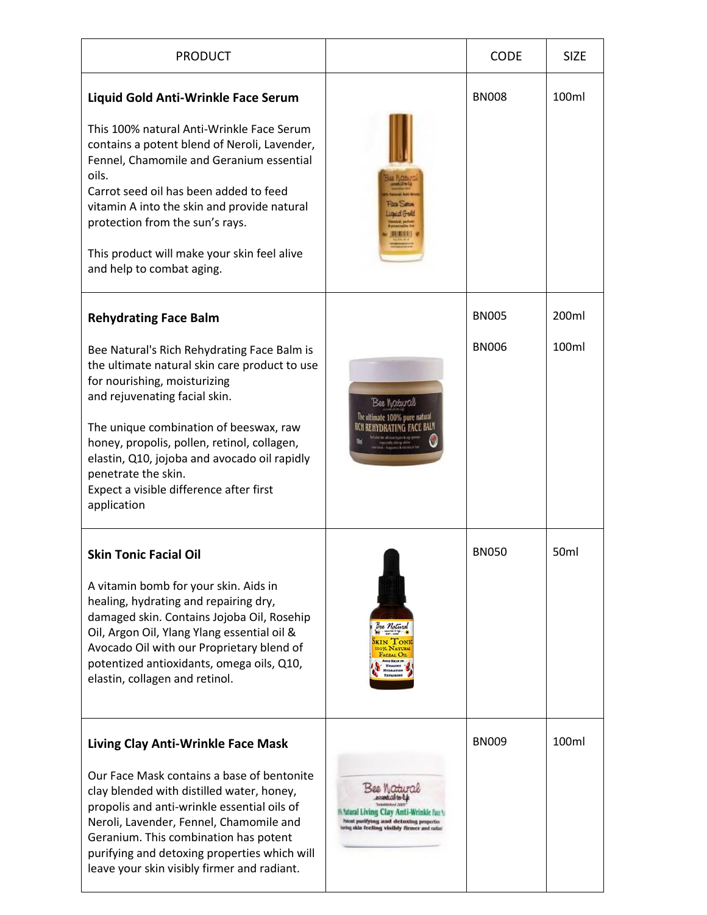| <b>PRODUCT</b>                                                                                                                                                                                                                                                                                                                                                                          |                                                                                                                                                 | <b>CODE</b>  | <b>SIZE</b>      |
|-----------------------------------------------------------------------------------------------------------------------------------------------------------------------------------------------------------------------------------------------------------------------------------------------------------------------------------------------------------------------------------------|-------------------------------------------------------------------------------------------------------------------------------------------------|--------------|------------------|
| Liquid Gold Anti-Wrinkle Face Serum                                                                                                                                                                                                                                                                                                                                                     |                                                                                                                                                 | <b>BN008</b> | 100ml            |
| This 100% natural Anti-Wrinkle Face Serum<br>contains a potent blend of Neroli, Lavender,<br>Fennel, Chamomile and Geranium essential<br>oils.<br>Carrot seed oil has been added to feed<br>vitamin A into the skin and provide natural<br>protection from the sun's rays.<br>This product will make your skin feel alive<br>and help to combat aging.                                  | Louin (Fro)                                                                                                                                     |              |                  |
| <b>Rehydrating Face Balm</b>                                                                                                                                                                                                                                                                                                                                                            |                                                                                                                                                 | <b>BN005</b> | 200ml            |
| Bee Natural's Rich Rehydrating Face Balm is<br>the ultimate natural skin care product to use<br>for nourishing, moisturizing<br>and rejuvenating facial skin.<br>The unique combination of beeswax, raw<br>honey, propolis, pollen, retinol, collagen,<br>elastin, Q10, jojoba and avocado oil rapidly<br>penetrate the skin.<br>Expect a visible difference after first<br>application | Bee Motural<br>The ultimate 100% pure natural                                                                                                   | <b>BN006</b> | 100ml            |
| Skin Tonic Facial Oil<br>A vitamin bomb for your skin. Aids in<br>healing, hydrating and repairing dry,<br>damaged skin. Contains Jojoba Oil, Rosehip<br>Oil, Argon Oil, Ylang Ylang essential oil &<br>Avocado Oil with our Proprietary blend of<br>potentized antioxidants, omega oils, Q10,<br>elastin, collagen and retinol.                                                        | See Natural<br><b>XIN TON</b><br>Facial Ot<br><b>AIDS SKIN IN</b><br><b>HEALING</b><br><b>HYDRATION</b><br><b>REPAIRING</b>                     | <b>BN050</b> | 50 <sub>ml</sub> |
| Living Clay Anti-Wrinkle Face Mask<br>Our Face Mask contains a base of bentonite<br>clay blended with distilled water, honey,<br>propolis and anti-wrinkle essential oils of<br>Neroli, Lavender, Fennel, Chamomile and<br>Geranium. This combination has potent<br>purifying and detoxing properties which will<br>leave your skin visibly firmer and radiant.                         | р. Пі <i>Стится</i><br>'atural Living Clay Anti-Wrinkle Fax<br>htent purifying and detexing properties<br>g skin feeling visibly firmer and rad | <b>BN009</b> | 100ml            |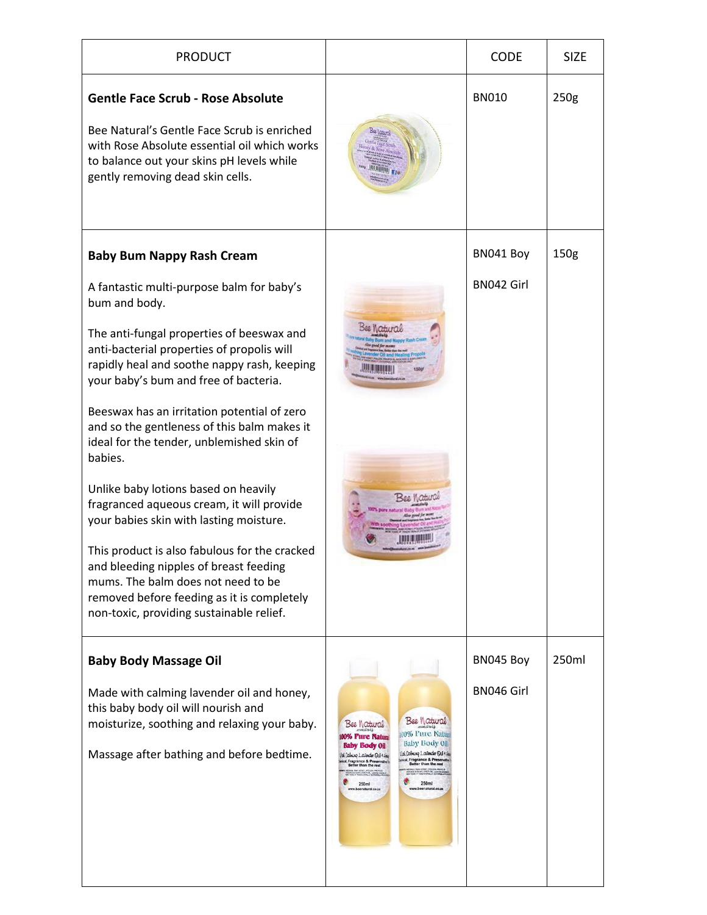| <b>PRODUCT</b>                                                                                                                                                                                                                                                                                                                                                                                                                                                                                                                                                                                                                                                                                                                                                                                     |                                                                                                                                                                                                                                                                                                                                                                                                                                                           | <b>CODE</b>             | <b>SIZE</b> |
|----------------------------------------------------------------------------------------------------------------------------------------------------------------------------------------------------------------------------------------------------------------------------------------------------------------------------------------------------------------------------------------------------------------------------------------------------------------------------------------------------------------------------------------------------------------------------------------------------------------------------------------------------------------------------------------------------------------------------------------------------------------------------------------------------|-----------------------------------------------------------------------------------------------------------------------------------------------------------------------------------------------------------------------------------------------------------------------------------------------------------------------------------------------------------------------------------------------------------------------------------------------------------|-------------------------|-------------|
| <b>Gentle Face Scrub - Rose Absolute</b><br>Bee Natural's Gentle Face Scrub is enriched<br>with Rose Absolute essential oil which works<br>to balance out your skins pH levels while<br>gently removing dead skin cells.                                                                                                                                                                                                                                                                                                                                                                                                                                                                                                                                                                           |                                                                                                                                                                                                                                                                                                                                                                                                                                                           | <b>BN010</b>            | 250g        |
| <b>Baby Bum Nappy Rash Cream</b><br>A fantastic multi-purpose balm for baby's<br>bum and body.<br>The anti-fungal properties of beeswax and<br>anti-bacterial properties of propolis will<br>rapidly heal and soothe nappy rash, keeping<br>your baby's bum and free of bacteria.<br>Beeswax has an irritation potential of zero<br>and so the gentleness of this balm makes it<br>ideal for the tender, unblemished skin of<br>babies.<br>Unlike baby lotions based on heavily<br>fragranced aqueous cream, it will provide<br>your babies skin with lasting moisture.<br>This product is also fabulous for the cracked<br>and bleeding nipples of breast feeding<br>mums. The balm does not need to be<br>removed before feeding as it is completely<br>non-toxic, providing sustainable relief. |                                                                                                                                                                                                                                                                                                                                                                                                                                                           | BN041 Boy<br>BN042 Girl | 150g        |
| <b>Baby Body Massage Oil</b><br>Made with calming lavender oil and honey,<br>this baby body oil will nourish and<br>moisturize, soothing and relaxing your baby.<br>Massage after bathing and before bedtime.                                                                                                                                                                                                                                                                                                                                                                                                                                                                                                                                                                                      | Bee Watural<br>Bee Watural<br>100% Pure Natur<br><b>00% Pure Natura</b><br>Baby Body Oil<br><b>Baby Body Oil</b><br>Us. Cabring Laikeder Qui + He<br>Ud Cabing Laikeder Qui+ Lou<br>I, Fragrance & Preser<br>Better than the rest<br>cal, Fragrance & Preserv<br>Better than the rest<br>ra Maii Honey, Poleon, Provozi<br>20 a Sunt Louis (OL, Liberato esa<br>200 p. Davis Orman External es<br>250ml<br>250ml<br>www.beenatural.co.za<br>natural.co.za | BN045 Boy<br>BN046 Girl | 250ml       |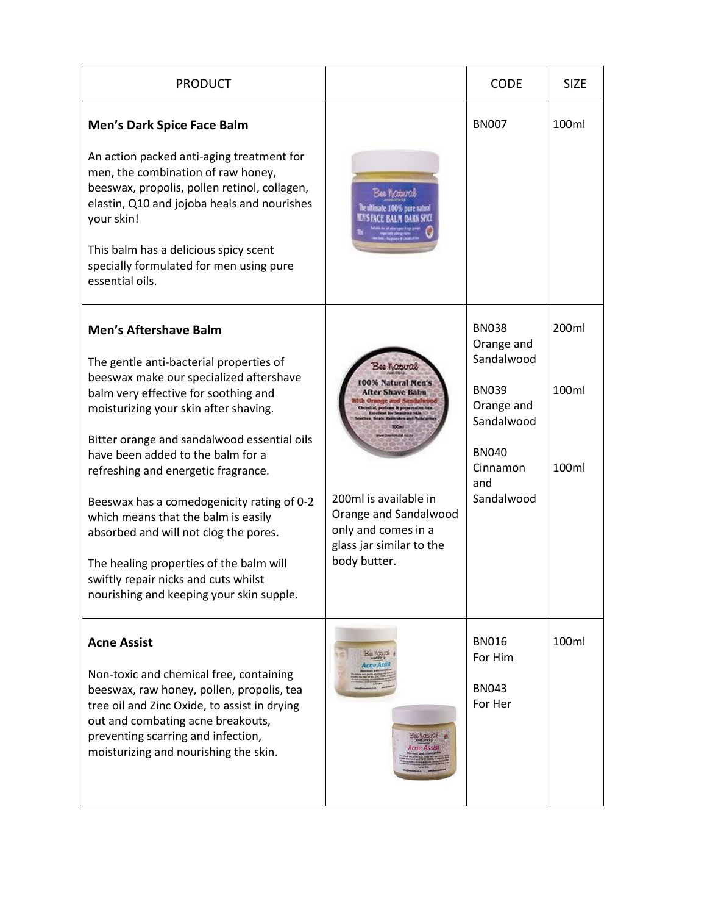| <b>PRODUCT</b>                                                                                                                                                                                                                                                                                      |                                                                                                                   | <b>CODE</b>                              | <b>SIZE</b> |
|-----------------------------------------------------------------------------------------------------------------------------------------------------------------------------------------------------------------------------------------------------------------------------------------------------|-------------------------------------------------------------------------------------------------------------------|------------------------------------------|-------------|
| <b>Men's Dark Spice Face Balm</b>                                                                                                                                                                                                                                                                   |                                                                                                                   | <b>BN007</b>                             | 100ml       |
| An action packed anti-aging treatment for<br>men, the combination of raw honey,<br>beeswax, propolis, pollen retinol, collagen,<br>elastin, Q10 and jojoba heals and nourishes<br>your skin!<br>This balm has a delicious spicy scent<br>specially formulated for men using pure<br>essential oils. | Bee Noturos<br>The ultimate 100% pure natural                                                                     |                                          |             |
| <b>Men's Aftershave Balm</b><br>The gentle anti-bacterial properties of                                                                                                                                                                                                                             |                                                                                                                   | <b>BN038</b><br>Orange and<br>Sandalwood | 200ml       |
| beeswax make our specialized aftershave<br>balm very effective for soothing and<br>moisturizing your skin after shaving.                                                                                                                                                                            | ee Natural<br>00% Natural Men's<br><b>After Shave Balm</b>                                                        | <b>BN039</b><br>Orange and<br>Sandalwood | 100ml       |
| Bitter orange and sandalwood essential oils<br>have been added to the balm for a<br>refreshing and energetic fragrance.                                                                                                                                                                             |                                                                                                                   | <b>BN040</b><br>Cinnamon<br>and          | 100ml       |
| Beeswax has a comedogenicity rating of 0-2<br>which means that the balm is easily<br>absorbed and will not clog the pores.                                                                                                                                                                          | 200ml is available in<br>Orange and Sandalwood<br>only and comes in a<br>glass jar similar to the<br>body butter. | Sandalwood                               |             |
| The healing properties of the balm will<br>swiftly repair nicks and cuts whilst<br>nourishing and keeping your skin supple.                                                                                                                                                                         |                                                                                                                   |                                          |             |
| <b>Acne Assist</b>                                                                                                                                                                                                                                                                                  |                                                                                                                   | <b>BN016</b><br>For Him                  | 100ml       |
| Non-toxic and chemical free, containing<br>beeswax, raw honey, pollen, propolis, tea<br>tree oil and Zinc Oxide, to assist in drying<br>out and combating acne breakouts,<br>preventing scarring and infection,<br>moisturizing and nourishing the skin.                                            |                                                                                                                   | <b>BN043</b><br>For Her                  |             |
|                                                                                                                                                                                                                                                                                                     |                                                                                                                   |                                          |             |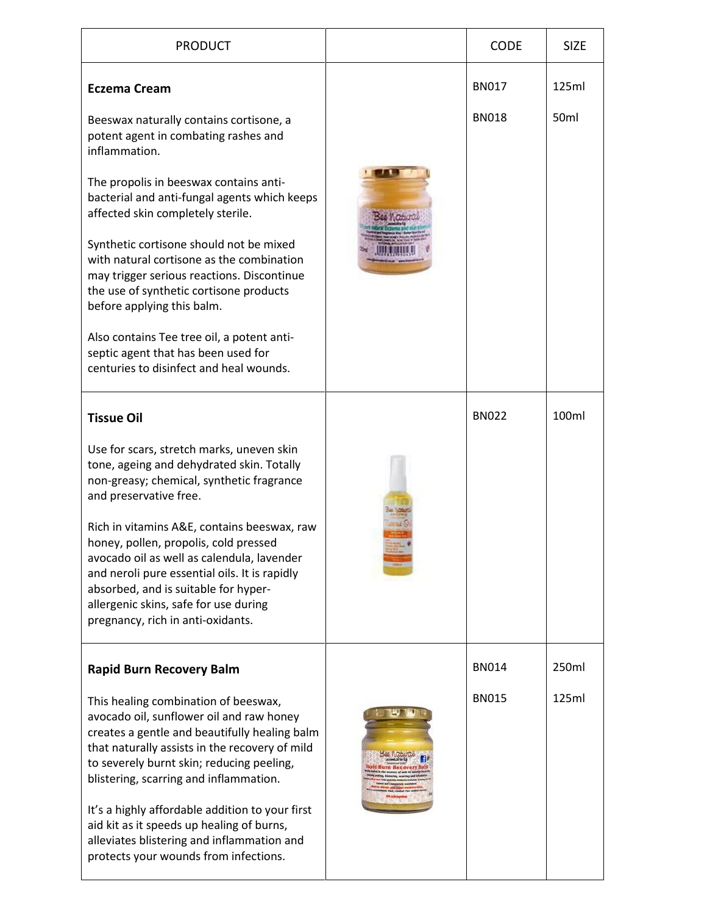| <b>PRODUCT</b>                                                                                                                                                                                                                                                                                                                                                                                                                                                                                                                                                                                        | <b>CODE</b>                  | <b>SIZE</b>    |
|-------------------------------------------------------------------------------------------------------------------------------------------------------------------------------------------------------------------------------------------------------------------------------------------------------------------------------------------------------------------------------------------------------------------------------------------------------------------------------------------------------------------------------------------------------------------------------------------------------|------------------------------|----------------|
| <b>Eczema Cream</b><br>Beeswax naturally contains cortisone, a<br>potent agent in combating rashes and<br>inflammation.<br>The propolis in beeswax contains anti-<br>bacterial and anti-fungal agents which keeps<br>affected skin completely sterile.<br>Synthetic cortisone should not be mixed<br>with natural cortisone as the combination<br>may trigger serious reactions. Discontinue<br>the use of synthetic cortisone products<br>before applying this balm.<br>Also contains Tee tree oil, a potent anti-<br>septic agent that has been used for<br>centuries to disinfect and heal wounds. | <b>BN017</b><br><b>BN018</b> | 125ml<br>50ml  |
| <b>Tissue Oil</b><br>Use for scars, stretch marks, uneven skin<br>tone, ageing and dehydrated skin. Totally<br>non-greasy; chemical, synthetic fragrance<br>and preservative free.<br>Rich in vitamins A&E, contains beeswax, raw<br>honey, pollen, propolis, cold pressed<br>avocado oil as well as calendula, lavender<br>and neroli pure essential oils. It is rapidly<br>absorbed, and is suitable for hyper-<br>allergenic skins, safe for use during<br>pregnancy, rich in anti-oxidants.                                                                                                       | <b>BN022</b>                 | 100ml          |
| <b>Rapid Burn Recovery Balm</b><br>This healing combination of beeswax,<br>avocado oil, sunflower oil and raw honey<br>creates a gentle and beautifully healing balm<br>that naturally assists in the recovery of mild<br>to severely burnt skin; reducing peeling,<br>blistering, scarring and inflammation.<br>It's a highly affordable addition to your first<br>aid kit as it speeds up healing of burns,<br>alleviates blistering and inflammation and<br>protects your wounds from infections.                                                                                                  | <b>BN014</b><br><b>BN015</b> | 250ml<br>125ml |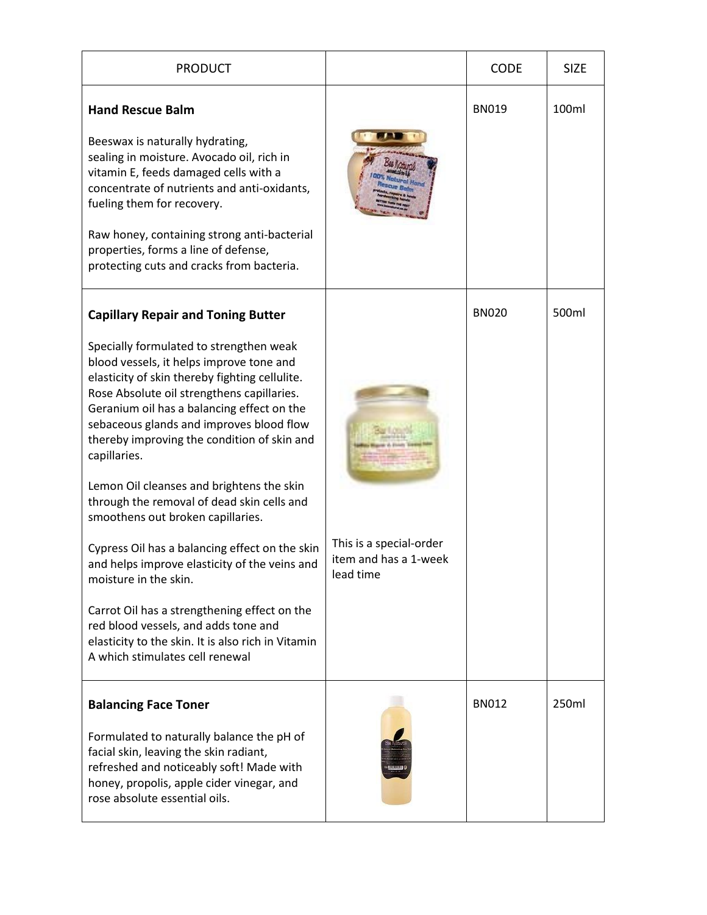| <b>PRODUCT</b>                                                                                                                                                                                                                                                                                                                                                                                                                                                                                                                                                                                                                                                                                                                                                                                                                         |                                                               | <b>CODE</b>  | <b>SIZE</b> |
|----------------------------------------------------------------------------------------------------------------------------------------------------------------------------------------------------------------------------------------------------------------------------------------------------------------------------------------------------------------------------------------------------------------------------------------------------------------------------------------------------------------------------------------------------------------------------------------------------------------------------------------------------------------------------------------------------------------------------------------------------------------------------------------------------------------------------------------|---------------------------------------------------------------|--------------|-------------|
| <b>Hand Rescue Balm</b><br>Beeswax is naturally hydrating,<br>sealing in moisture. Avocado oil, rich in<br>vitamin E, feeds damaged cells with a<br>concentrate of nutrients and anti-oxidants,<br>fueling them for recovery.<br>Raw honey, containing strong anti-bacterial<br>properties, forms a line of defense,<br>protecting cuts and cracks from bacteria.                                                                                                                                                                                                                                                                                                                                                                                                                                                                      |                                                               | <b>BN019</b> | 100ml       |
| <b>Capillary Repair and Toning Butter</b><br>Specially formulated to strengthen weak<br>blood vessels, it helps improve tone and<br>elasticity of skin thereby fighting cellulite.<br>Rose Absolute oil strengthens capillaries.<br>Geranium oil has a balancing effect on the<br>sebaceous glands and improves blood flow<br>thereby improving the condition of skin and<br>capillaries.<br>Lemon Oil cleanses and brightens the skin<br>through the removal of dead skin cells and<br>smoothens out broken capillaries.<br>Cypress Oil has a balancing effect on the skin<br>and helps improve elasticity of the veins and<br>moisture in the skin.<br>Carrot Oil has a strengthening effect on the<br>red blood vessels, and adds tone and<br>elasticity to the skin. It is also rich in Vitamin<br>A which stimulates cell renewal | This is a special-order<br>item and has a 1-week<br>lead time | <b>BN020</b> | 500ml       |
| <b>Balancing Face Toner</b><br>Formulated to naturally balance the pH of<br>facial skin, leaving the skin radiant,<br>refreshed and noticeably soft! Made with<br>honey, propolis, apple cider vinegar, and<br>rose absolute essential oils.                                                                                                                                                                                                                                                                                                                                                                                                                                                                                                                                                                                           |                                                               | <b>BN012</b> | 250ml       |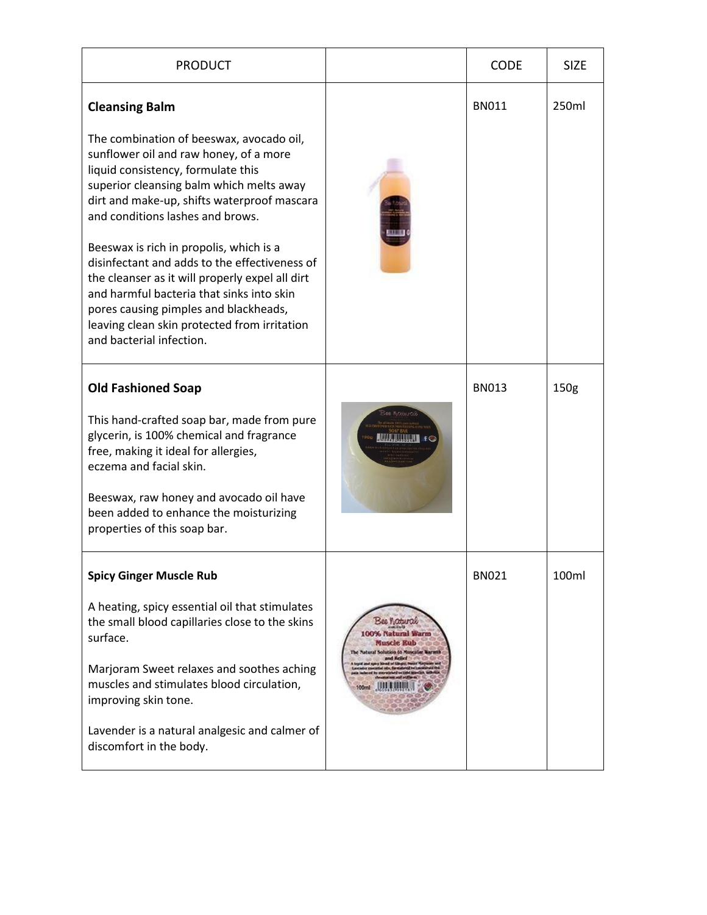| <b>PRODUCT</b>                                                                                                                                                                                                                                                                                                                                                                                                                                                                                                                                                                                    |                                                                                                               | <b>CODE</b>  | <b>SIZE</b>      |
|---------------------------------------------------------------------------------------------------------------------------------------------------------------------------------------------------------------------------------------------------------------------------------------------------------------------------------------------------------------------------------------------------------------------------------------------------------------------------------------------------------------------------------------------------------------------------------------------------|---------------------------------------------------------------------------------------------------------------|--------------|------------------|
| <b>Cleansing Balm</b><br>The combination of beeswax, avocado oil,<br>sunflower oil and raw honey, of a more<br>liquid consistency, formulate this<br>superior cleansing balm which melts away<br>dirt and make-up, shifts waterproof mascara<br>and conditions lashes and brows.<br>Beeswax is rich in propolis, which is a<br>disinfectant and adds to the effectiveness of<br>the cleanser as it will properly expel all dirt<br>and harmful bacteria that sinks into skin<br>pores causing pimples and blackheads,<br>leaving clean skin protected from irritation<br>and bacterial infection. |                                                                                                               | <b>BN011</b> | 250ml            |
| <b>Old Fashioned Soap</b><br>This hand-crafted soap bar, made from pure<br>glycerin, is 100% chemical and fragrance<br>free, making it ideal for allergies,<br>eczema and facial skin.<br>Beeswax, raw honey and avocado oil have<br>been added to enhance the moisturizing<br>properties of this soap bar.                                                                                                                                                                                                                                                                                       |                                                                                                               | <b>BN013</b> | 150 <sub>g</sub> |
| <b>Spicy Ginger Muscle Rub</b><br>A heating, spicy essential oil that stimulates<br>the small blood capillaries close to the skins<br>surface.<br>Marjoram Sweet relaxes and soothes aching<br>muscles and stimulates blood circulation,<br>improving skin tone.<br>Lavender is a natural analgesic and calmer of<br>discomfort in the body.                                                                                                                                                                                                                                                      | Bee <b>Natural</b><br>100% Natural Warm<br>Muscle Kub<br>The Natural Solution to Muscular Warmth<br>nd Kellet | <b>BN021</b> | 100ml            |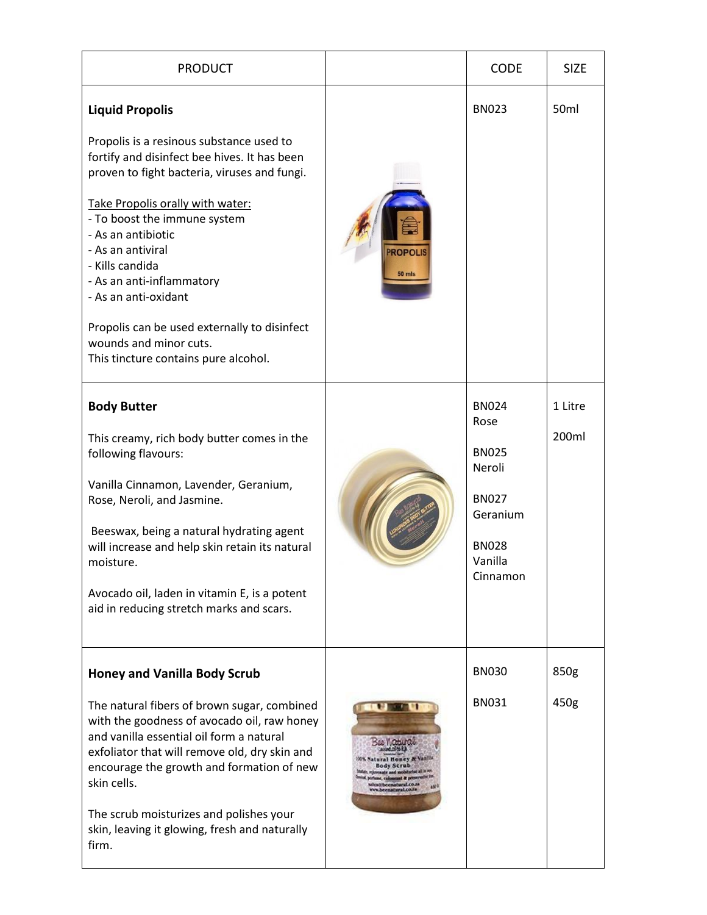| <b>PRODUCT</b>                                                                                                                                                                                                                                                                                                                                                                                                                                                              |                                                                                                                                                        | <b>CODE</b>                                                                                                       | <b>SIZE</b>      |
|-----------------------------------------------------------------------------------------------------------------------------------------------------------------------------------------------------------------------------------------------------------------------------------------------------------------------------------------------------------------------------------------------------------------------------------------------------------------------------|--------------------------------------------------------------------------------------------------------------------------------------------------------|-------------------------------------------------------------------------------------------------------------------|------------------|
| <b>Liquid Propolis</b><br>Propolis is a resinous substance used to<br>fortify and disinfect bee hives. It has been<br>proven to fight bacteria, viruses and fungi.<br>Take Propolis orally with water:<br>- To boost the immune system<br>- As an antibiotic<br>- As an antiviral<br>- Kills candida<br>- As an anti-inflammatory<br>- As an anti-oxidant<br>Propolis can be used externally to disinfect<br>wounds and minor cuts.<br>This tincture contains pure alcohol. | <b>ROPOLI</b><br>50 mls                                                                                                                                | <b>BN023</b>                                                                                                      | 50 <sub>ml</sub> |
| <b>Body Butter</b><br>This creamy, rich body butter comes in the<br>following flavours:<br>Vanilla Cinnamon, Lavender, Geranium,<br>Rose, Neroli, and Jasmine.<br>Beeswax, being a natural hydrating agent<br>will increase and help skin retain its natural<br>moisture.<br>Avocado oil, laden in vitamin E, is a potent<br>aid in reducing stretch marks and scars.                                                                                                       |                                                                                                                                                        | <b>BN024</b><br>Rose<br><b>BN025</b><br>Neroli<br><b>BN027</b><br>Geranium<br><b>BN028</b><br>Vanilla<br>Cinnamon | 1 Litre<br>200ml |
| <b>Honey and Vanilla Body Scrub</b><br>The natural fibers of brown sugar, combined<br>with the goodness of avocado oil, raw honey<br>and vanilla essential oil form a natural<br>exfoliator that will remove old, dry skin and<br>encourage the growth and formation of new<br>skin cells.<br>The scrub moisturizes and polishes your<br>skin, leaving it glowing, fresh and naturally<br>firm.                                                                             | ural Honey &<br><b>Body Scrub</b><br><sup>14</sup> Is leftstated and success<br>ht, coloursed & preserva<br>(alibeenatural.co.s)<br>w.beenatsral.co.in | <b>BN030</b><br><b>BN031</b>                                                                                      | 850g<br>450g     |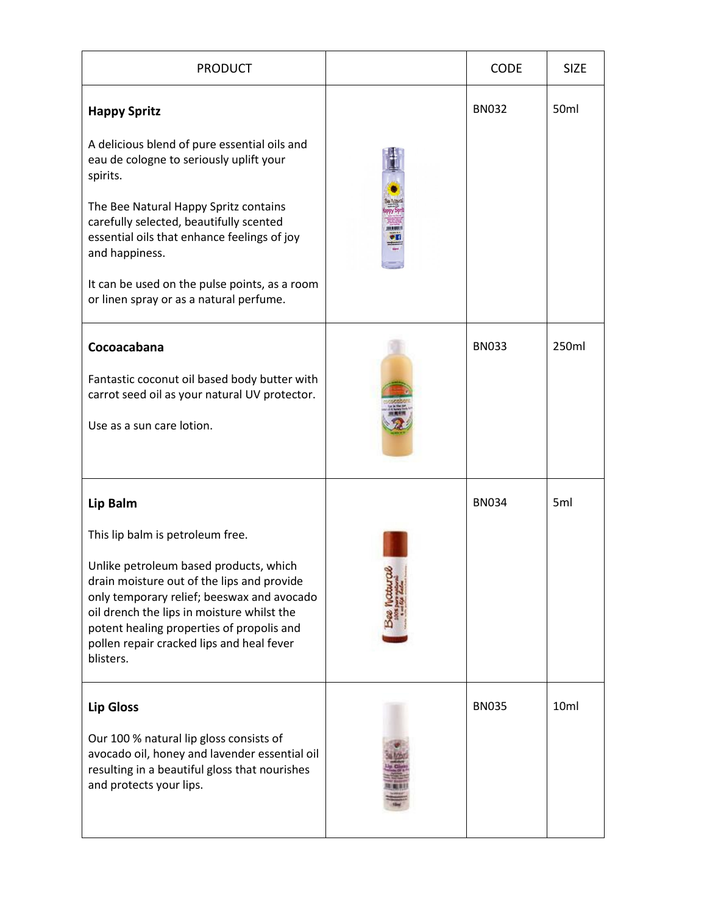| <b>PRODUCT</b>                                                                                                                                                                                                                                                                          | <b>CODE</b>  | <b>SIZE</b>      |
|-----------------------------------------------------------------------------------------------------------------------------------------------------------------------------------------------------------------------------------------------------------------------------------------|--------------|------------------|
| <b>Happy Spritz</b>                                                                                                                                                                                                                                                                     | <b>BN032</b> | 50 <sub>ml</sub> |
| A delicious blend of pure essential oils and<br>eau de cologne to seriously uplift your<br>spirits.                                                                                                                                                                                     |              |                  |
| The Bee Natural Happy Spritz contains<br>carefully selected, beautifully scented<br>essential oils that enhance feelings of joy<br>and happiness.                                                                                                                                       |              |                  |
| It can be used on the pulse points, as a room<br>or linen spray or as a natural perfume.                                                                                                                                                                                                |              |                  |
| Cocoacabana                                                                                                                                                                                                                                                                             | <b>BN033</b> | 250ml            |
| Fantastic coconut oil based body butter with<br>carrot seed oil as your natural UV protector.                                                                                                                                                                                           |              |                  |
| Use as a sun care lotion.                                                                                                                                                                                                                                                               |              |                  |
| Lip Balm                                                                                                                                                                                                                                                                                | <b>BN034</b> | 5 <sub>ml</sub>  |
| This lip balm is petroleum free.                                                                                                                                                                                                                                                        |              |                  |
| Unlike petroleum based products, which<br>drain moisture out of the lips and provide<br>only temporary relief; beeswax and avocado<br>oil drench the lips in moisture whilst the<br>potent healing properties of propolis and<br>pollen repair cracked lips and heal fever<br>blisters. |              |                  |
| <b>Lip Gloss</b>                                                                                                                                                                                                                                                                        | <b>BN035</b> | 10ml             |
| Our 100 % natural lip gloss consists of<br>avocado oil, honey and lavender essential oil<br>resulting in a beautiful gloss that nourishes<br>and protects your lips.                                                                                                                    |              |                  |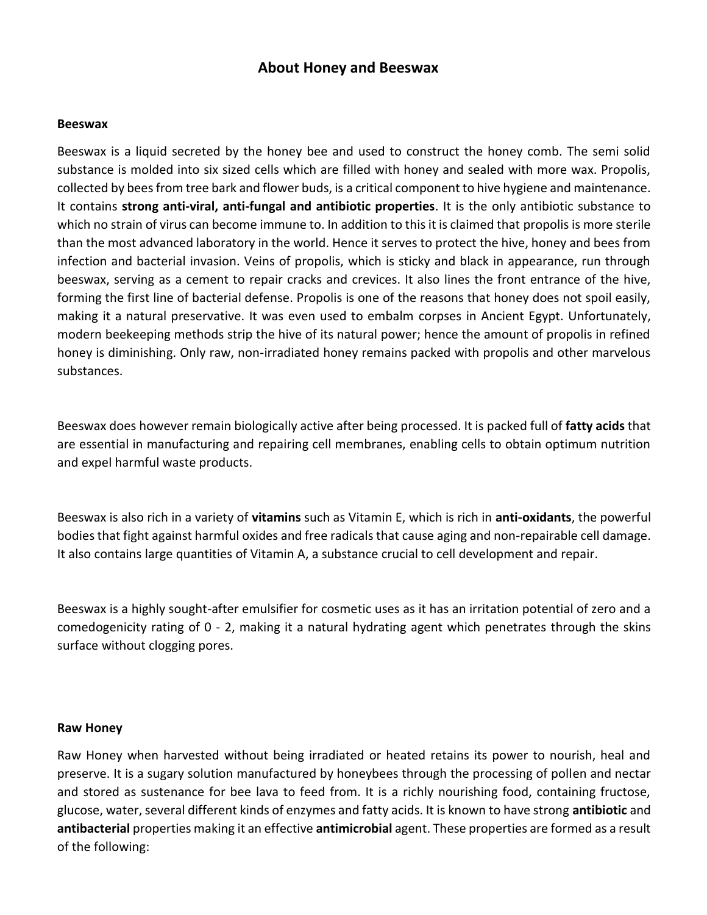## **About Honey and Beeswax**

## **Beeswax**

Beeswax is a liquid secreted by the honey bee and used to construct the honey comb. The semi solid substance is molded into six sized cells which are filled with honey and sealed with more wax. Propolis, collected by bees from tree bark and flower buds, is a critical component to hive hygiene and maintenance. It contains **strong anti-viral, anti-fungal and antibiotic properties**. It is the only antibiotic substance to which no strain of virus can become immune to. In addition to this it is claimed that propolis is more sterile than the most advanced laboratory in the world. Hence it serves to protect the hive, honey and bees from infection and bacterial invasion. Veins of propolis, which is sticky and black in appearance, run through beeswax, serving as a cement to repair cracks and crevices. It also lines the front entrance of the hive, forming the first line of bacterial defense. Propolis is one of the reasons that honey does not spoil easily, making it a natural preservative. It was even used to embalm corpses in Ancient Egypt. Unfortunately, modern beekeeping methods strip the hive of its natural power; hence the amount of propolis in refined honey is diminishing. Only raw, non-irradiated honey remains packed with propolis and other marvelous substances.

Beeswax does however remain biologically active after being processed. It is packed full of **fatty acids** that are essential in manufacturing and repairing cell membranes, enabling cells to obtain optimum nutrition and expel harmful waste products.

Beeswax is also rich in a variety of **vitamins** such as Vitamin E, which is rich in **anti-oxidants**, the powerful bodies that fight against harmful oxides and free radicals that cause aging and non-repairable cell damage. It also contains large quantities of Vitamin A, a substance crucial to cell development and repair.

Beeswax is a highly sought-after emulsifier for cosmetic uses as it has an irritation potential of zero and a comedogenicity rating of 0 - 2, making it a natural hydrating agent which penetrates through the skins surface without clogging pores.

## **Raw Honey**

Raw Honey when harvested without being irradiated or heated retains its power to nourish, heal and preserve. It is a sugary solution manufactured by honeybees through the processing of pollen and nectar and stored as sustenance for bee lava to feed from. It is a richly nourishing food, containing fructose, glucose, water, several different kinds of enzymes and fatty acids. It is known to have strong **antibiotic** and **antibacterial** properties making it an effective **antimicrobial** agent. These properties are formed as a result of the following: